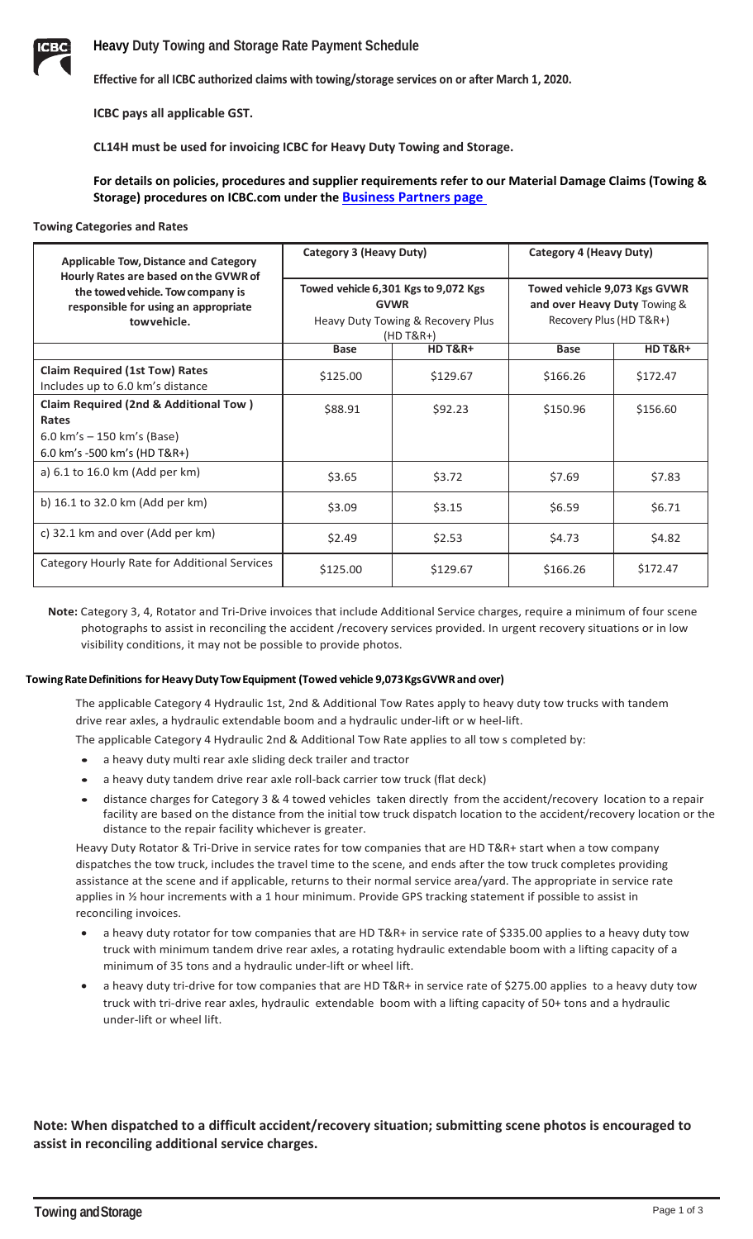

**Effective for all ICBC authorized claims with towing/storage services on or after March 1, 2020.**

**ICBC pays all applicable GST.**

**CL14H must be used for invoicing ICBC for Heavy Duty Towing and Storage.** 

**For details on policies, procedures and supplier requirements refer to our Material Damage Claims (Towing & Storage) procedures on ICBC.com under the [Business Partners page](https://www.icbc.com/partners/material-damage/Pages/towing.aspx)** 

#### **Towing Categories and Rates**

| <b>Applicable Tow, Distance and Category</b><br>Hourly Rates are based on the GVWR of    | Category 3 (Heavy Duty)<br>Towed vehicle 6,301 Kgs to 9,072 Kgs<br><b>GVWR</b><br>Heavy Duty Towing & Recovery Plus<br>$(HD T&R+$ |                    | Category 4 (Heavy Duty)<br>Towed vehicle 9,073 Kgs GVWR<br>and over Heavy Duty Towing &<br>Recovery Plus (HD T&R+) |                    |
|------------------------------------------------------------------------------------------|-----------------------------------------------------------------------------------------------------------------------------------|--------------------|--------------------------------------------------------------------------------------------------------------------|--------------------|
| the towed vehicle. Tow company is<br>responsible for using an appropriate<br>towyehicle. |                                                                                                                                   |                    |                                                                                                                    |                    |
|                                                                                          | <b>Base</b>                                                                                                                       | <b>HD T&amp;R+</b> | <b>Base</b>                                                                                                        | <b>HD T&amp;R+</b> |
| <b>Claim Required (1st Tow) Rates</b><br>Includes up to 6.0 km's distance                | \$125.00                                                                                                                          | \$129.67           | \$166.26                                                                                                           | \$172.47           |
| <b>Claim Required (2nd &amp; Additional Tow)</b><br>Rates                                | \$88.91                                                                                                                           | \$92.23            | \$150.96                                                                                                           | \$156.60           |
| 6.0 km's $-$ 150 km's (Base)<br>6.0 km's -500 km's (HD T&R+)                             |                                                                                                                                   |                    |                                                                                                                    |                    |
| a) 6.1 to 16.0 km (Add per km)                                                           | \$3.65                                                                                                                            | \$3.72             | \$7.69                                                                                                             | \$7.83             |
| b) 16.1 to 32.0 km (Add per km)                                                          | \$3.09                                                                                                                            | \$3.15             | \$6.59                                                                                                             | \$6.71             |
| c) 32.1 km and over (Add per km)                                                         | \$2.49                                                                                                                            | \$2.53             | \$4.73                                                                                                             | \$4.82             |
| Category Hourly Rate for Additional Services                                             | \$125.00                                                                                                                          | \$129.67           | \$166.26                                                                                                           | \$172.47           |

**Note:** Category 3, 4, Rotator and Tri-Drive invoices that include Additional Service charges, require a minimum of four scene photographs to assist in reconciling the accident /recovery services provided. In urgent recovery situations or in low visibility conditions, it may not be possible to provide photos.

#### **TowingRateDefinitions forHeavyDutyTowEquipment (Towed vehicle 9,073KgsGVWRand over)**

The applicable Category 4 Hydraulic 1st, 2nd & Additional Tow Rates apply to heavy duty tow trucks with tandem drive rear axles, a hydraulic extendable boom and a hydraulic under-lift or w heel-lift.

The applicable Category 4 Hydraulic 2nd & Additional Tow Rate applies to all tow s completed by:

- a heavy duty multi rear axle sliding deck trailer and tractor
- a heavy duty tandem drive rear axle roll-back carrier tow truck (flat deck)
- distance charges for Category 3 & 4 towed vehicles taken directly from the accident/recovery location to a repair facility are based on the distance from the initial tow truck dispatch location to the accident/recovery location or the distance to the repair facility whichever is greater.

Heavy Duty Rotator & Tri-Drive in service rates for tow companies that are HD T&R+ start when a tow company dispatches the tow truck, includes the travel time to the scene, and ends after the tow truck completes providing assistance at the scene and if applicable, returns to their normal service area/yard. The appropriate in service rate applies in ½ hour increments with a 1 hour minimum. Provide GPS tracking statement if possible to assist in reconciling invoices.

- a heavy duty rotator for tow companies that are HD T&R+ in service rate of \$335.00 applies to a heavy duty tow truck with minimum tandem drive rear axles, a rotating hydraulic extendable boom with a lifting capacity of a minimum of 35 tons and a hydraulic under-lift or wheel lift.
- a heavy duty tri-drive for tow companies that are HD T&R+ in service rate of \$275.00 applies to a heavy duty tow truck with tri-drive rear axles, hydraulic extendable boom with a lifting capacity of 50+ tons and a hydraulic under-lift or wheel lift.

# **Note: When dispatched to a difficult accident/recovery situation; submitting scene photos is encouraged to assist in reconciling additional service charges.**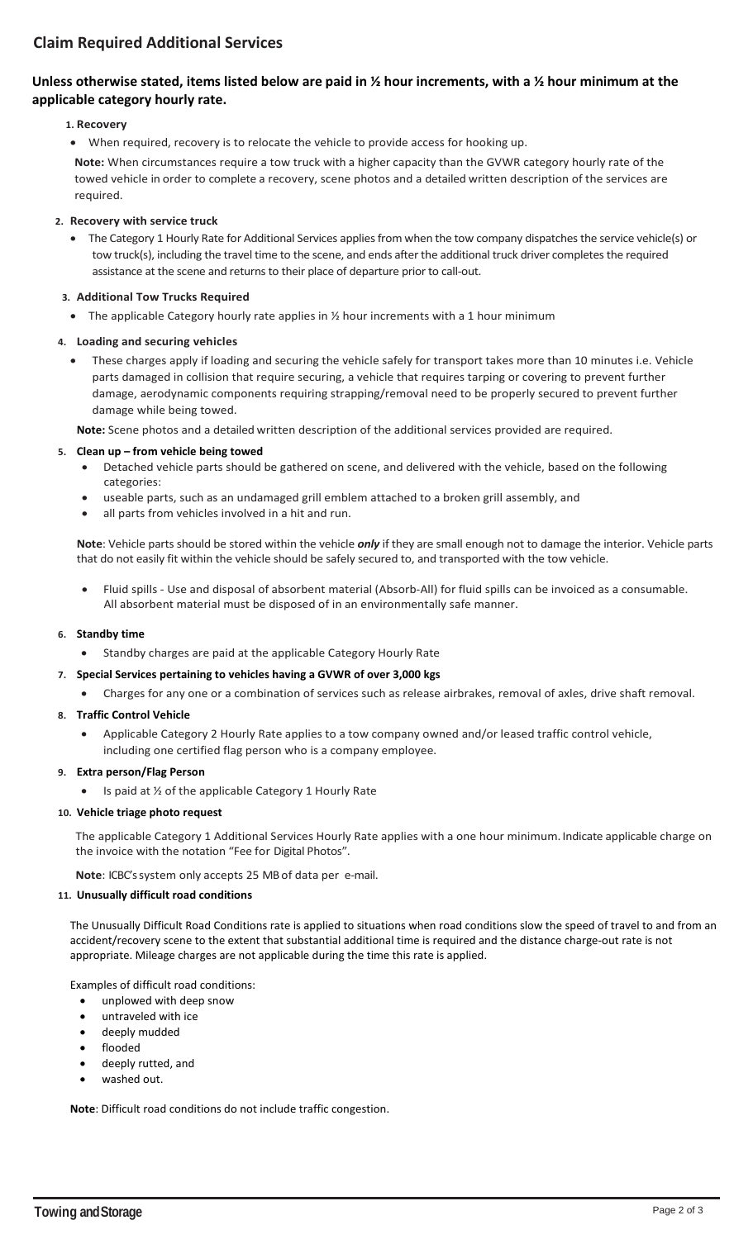# **Claim Required Additional Services**

# **Unless otherwise stated, items listed below are paid in ½ hour increments, with a ½ hour minimum at the applicable category hourly rate.**

# **1. Recovery**

• When required, recovery is to relocate the vehicle to provide access for hooking up. **Note:** When circumstances require a tow truck with a higher capacity than the GVWR category hourly rate of the towed vehicle in order to complete a recovery, scene photos and a detailed written description of the services are required.

## **2. Recovery with service truck**

• The Category 1 Hourly Rate for Additional Services applies from when the tow company dispatches the service vehicle(s) or tow truck(s), including the travel time to the scene, and ends after the additional truck driver completes the required assistance at the scene and returns to their place of departure prior to call-out.

# **3. Additional Tow Trucks Required**

• The applicable Category hourly rate applies in  $\frac{1}{2}$  hour increments with a 1 hour minimum

# **4. Loading and securing vehicles**

• These charges apply if loading and securing the vehicle safely for transport takes more than 10 minutes i.e. Vehicle parts damaged in collision that require securing, a vehicle that requires tarping or covering to prevent further damage, aerodynamic components requiring strapping/removal need to be properly secured to prevent further damage while being towed.

**Note:** Scene photos and a detailed written description of the additional services provided are required.

## **5. Clean up – from vehicle being towed**

- Detached vehicle parts should be gathered on scene, and delivered with the vehicle, based on the following categories:
- useable parts, such as an undamaged grill emblem attached to a broken grill assembly, and
- all parts from vehicles involved in a hit and run.

**Note**: Vehicle parts should be stored within the vehicle *only* if they are small enough not to damage the interior. Vehicle parts that do not easily fit within the vehicle should be safely secured to, and transported with the tow vehicle.

• Fluid spills - Use and disposal of absorbent material (Absorb-All) for fluid spills can be invoiced as a consumable. All absorbent material must be disposed of in an environmentally safe manner.

## **6. Standby time**

• Standby charges are paid at the applicable Category Hourly Rate

## **7. Special Services pertaining to vehicles having a GVWR of over 3,000 kgs**

• Charges for any one or a combination of services such as release airbrakes, removal of axles, drive shaft removal.

# **8. Traffic Control Vehicle**

• Applicable Category 2 Hourly Rate applies to a tow company owned and/or leased traffic control vehicle, including one certified flag person who is a company employee.

## **9. Extra person/Flag Person**

Is paid at  $\frac{1}{2}$  of the applicable Category 1 Hourly Rate

## **10. Vehicle triage photo request**

The applicable Category 1 Additional Services Hourly Rate applies with a one hour minimum. Indicate applicable charge on the invoice with the notation "Fee for Digital Photos".

**Note**: ICBC's system only accepts 25 MB of data per e-mail.

## **11. Unusually difficult road conditions**

The Unusually Difficult Road Conditions rate is applied to situations when road conditions slow the speed of travel to and from an accident/recovery scene to the extent that substantial additional time is required and the distance charge-out rate is not appropriate. Mileage charges are not applicable during the time this rate is applied.

Examples of difficult road conditions:

- unplowed with deep snow
- untraveled with ice
- deeply mudded
- flooded
- deeply rutted, and
- washed out.

**Note**: Difficult road conditions do not include traffic congestion.